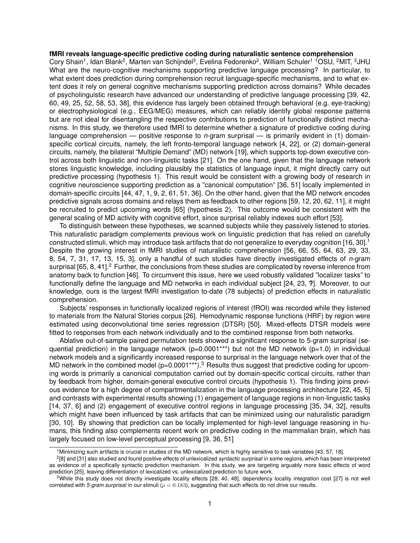## **fMRI reveals language-specific predictive coding during naturalistic sentence comprehension**

Cory Shain<sup>1</sup>, Idan Blank<sup>2</sup>, Marten van Schijndel<sup>3</sup>, Evelina Fedorenko<sup>2</sup>, William Schuler<sup>1 1</sup>OSU, <sup>2</sup>MIT, <sup>3</sup>JHU What are the neuro-cognitive mechanisms supporting predictive language processing? In particular, to what extent does prediction during comprehension recruit language-specific mechanisms, and to what extent does it rely on general cognitive mechanisms supporting prediction across domains? While decades of psycholinguistic research have advanced our understanding of predictive language processing [39, 42, 60, 49, 25, 52, 58, 53, 38], this evidence has largely been obtained through behavioral (e.g. eye-tracking) or electrophysiological (e.g., EEG/MEG) measures, which can reliably identify global response patterns but are not ideal for disentangling the respective contributions to prediction of functionally distinct mechanisms. In this study, we therefore used fMRI to determine whether a signature of predictive coding during language comprehension — positive response to *n*-gram surprisal — is primarily evident in (1) domainspecific cortical circuits, namely, the left fronto-temporal language network [4, 22], or (2) domain-general circuits, namely, the bilateral "Multiple Demand" (MD) network [19], which supports top-down executive control across both linguistic and non-linguistic tasks [21]. On the one hand, given that the language network stores linguistic knowledge, including plausibly the statistics of language input, it might directly carry out predictive processing (hypothesis 1). This result would be consistent with a growing body of research in cognitive neuroscience supporting prediction as a "canonical computation" [36, 51] locally implemented in domain-specific circuits [44, 47, 1, 9, 2, 61, 51, 36]. On the other hand, given that the MD network encodes predictive signals across domains and relays them as feedback to other regions [59, 12, 20, 62, 11], it might be recruited to predict upcoming words [65] (hypothesis 2). This outcome would be consistent with the general scaling of MD activity with cognitive effort, since surprisal reliably indexes such effort [53].

To distinguish between these hypotheses, we scanned subjects while they passively listened to stories. This naturalistic paradigm complements previous work on linguistic prediction that has relied on carefully constructed stimuli, which may introduce task artifacts that do not generalize to everyday cognition [16, 30].<sup>1</sup> Despite the growing interest in fMRI studies of naturalistic comprehension [56, 66, 55, 64, 63, 29, 33, 8, 54, 7, 31, 17, 13, 15, 3], only a handful of such studies have directly investigated effects of *n*-gram surprisal  $[65, 8, 41]$ . Further, the conclusions from these studies are complicated by reverse inference from anatomy back to function [46]. To circumvent this issue, here we used robustly validated "localizer tasks" to functionally define the language and MD networks in each individual subject [24, 23, **?**]. Moreover, to our knowledge, ours is the largest fMRI investigation to-date (78 subjects) of prediction effects in naturalistic comprehension.

Subjects' responses in functionally localized regions of interest (fROI) was recorded while they listened to materials from the Natural Stories corpus [26]. Hemodynamic response functions (HRF) by region were estimated using deconvolutional time series regression (DTSR) [50]. Mixed-effects DTSR models were fitted to responses from each network individually and to the combined response from both networks.

Ablative out-of-sample paired permutation tests showed a significant response to 5-gram surprisal (sequential prediction) in the language network ( $p=0.0001***$ ) but not the MD network ( $p=1.0$ ) in individual network models and a significantly increased response to surprisal in the language network over that of the MD network in the combined model (p=0.0001\*\*\*).<sup>3</sup> Results thus suggest that predictive coding for upcoming words is primarily a canonical computation carried out by domain-specific cortical circuits, rather than by feedback from higher, domain-general executive control circuits (hypothesis 1). This finding joins previous evidence for a high degree of compartmentalization in the language processing architecture [22, 45, 5] and contrasts with experimental results showing (1) engagement of language regions in non-linguistic tasks [14, 37, 6] and (2) engagement of executive control regions in language processing [35, 34, 32], results which might have been influenced by task artifacts that can be minimized using our naturalistic paradigm [30, 10]. By showing that prediction can be locally implemented for high-level language reasoning in humans, this finding also complements recent work on predictive coding in the mammalian brain, which has largely focused on low-level perceptual processing [9, 36, 51]

<sup>&</sup>lt;sup>1</sup>Minimizing such artifacts is crucial in studies of the MD network, which is highly sensitive to task variables [43, 57, 18].

<sup>2</sup> [8] and [31] also studied and found positive effects of unlexicalized *syntactic surprisal* in some regions, which has been interpreted as evidence of a specifically syntactic prediction mechanism. In this study, we are targeting arguably more basic effects of word prediction [25], leaving differentiation of lexicalized vs. unlexicalized prediction to future work.

<sup>&</sup>lt;sup>3</sup>While this study does not directly investigate locality effects [28, 40, 48], dependency locality integration cost [27] is not well correlated with *5-gram surprisal* in our stimuli ( $\rho = 0.183$ ), suggesting that such effects do not drive our results.